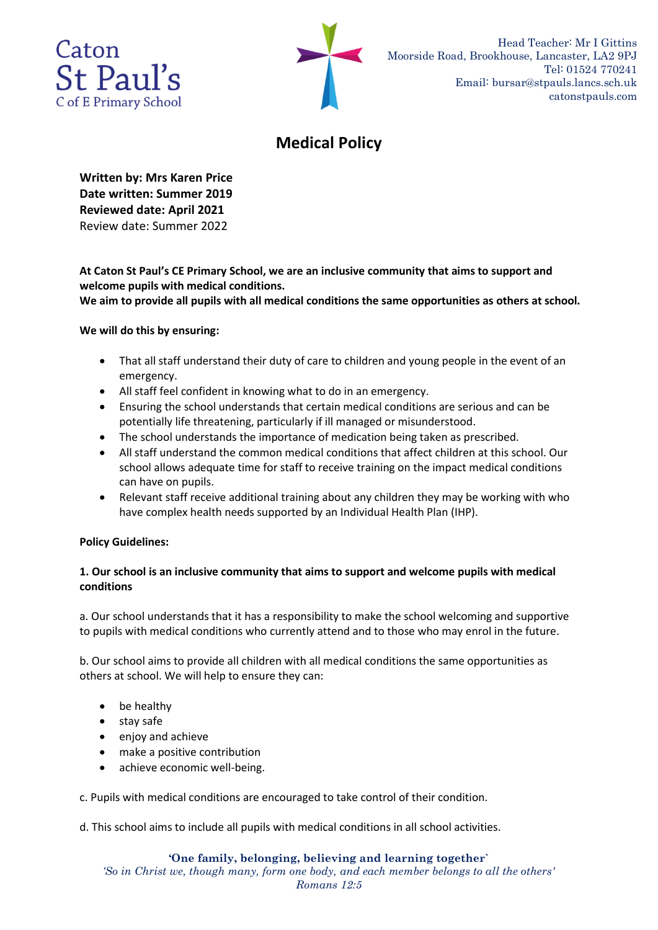



## **Medical Policy**

**Written by: Mrs Karen Price Date written: Summer 2019 Reviewed date: April 2021** Review date: Summer 2022

**At Caton St Paul's CE Primary School, we are an inclusive community that aims to support and welcome pupils with medical conditions. We aim to provide all pupils with all medical conditions the same opportunities as others at school.**

### **We will do this by ensuring:**

- That all staff understand their duty of care to children and young people in the event of an emergency.
- All staff feel confident in knowing what to do in an emergency.
- Ensuring the school understands that certain medical conditions are serious and can be potentially life threatening, particularly if ill managed or misunderstood.
- The school understands the importance of medication being taken as prescribed.
- All staff understand the common medical conditions that affect children at this school. Our school allows adequate time for staff to receive training on the impact medical conditions can have on pupils.
- Relevant staff receive additional training about any children they may be working with who have complex health needs supported by an Individual Health Plan (IHP).

### **Policy Guidelines:**

### **1. Our school is an inclusive community that aims to support and welcome pupils with medical conditions**

a. Our school understands that it has a responsibility to make the school welcoming and supportive to pupils with medical conditions who currently attend and to those who may enrol in the future.

b. Our school aims to provide all children with all medical conditions the same opportunities as others at school. We will help to ensure they can:

- be healthy
- stay safe
- enjoy and achieve
- make a positive contribution
- achieve economic well-being.

c. Pupils with medical conditions are encouraged to take control of their condition.

d. This school aims to include all pupils with medical conditions in all school activities.

### **'One family, belonging, believing and learning together`**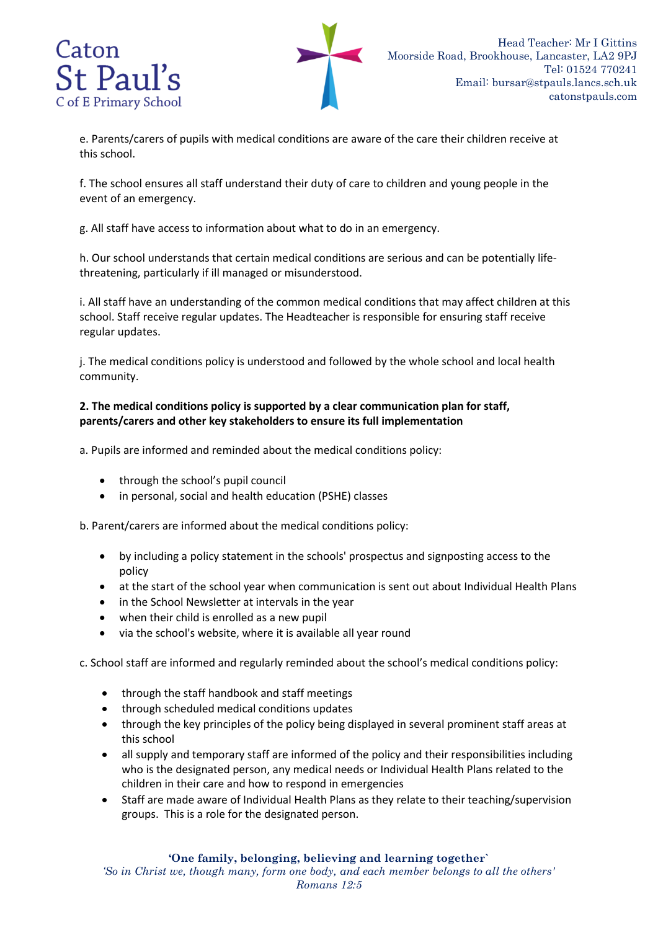



e. Parents/carers of pupils with medical conditions are aware of the care their children receive at this school.

f. The school ensures all staff understand their duty of care to children and young people in the event of an emergency.

g. All staff have access to information about what to do in an emergency.

h. Our school understands that certain medical conditions are serious and can be potentially lifethreatening, particularly if ill managed or misunderstood.

i. All staff have an understanding of the common medical conditions that may affect children at this school. Staff receive regular updates. The Headteacher is responsible for ensuring staff receive regular updates.

j. The medical conditions policy is understood and followed by the whole school and local health community.

### **2. The medical conditions policy is supported by a clear communication plan for staff, parents/carers and other key stakeholders to ensure its full implementation**

a. Pupils are informed and reminded about the medical conditions policy:

- through the school's pupil council
- in personal, social and health education (PSHE) classes

b. Parent/carers are informed about the medical conditions policy:

- by including a policy statement in the schools' prospectus and signposting access to the policy
- at the start of the school year when communication is sent out about Individual Health Plans
- in the School Newsletter at intervals in the year
- when their child is enrolled as a new pupil
- via the school's website, where it is available all year round

c. School staff are informed and regularly reminded about the school's medical conditions policy:

- through the staff handbook and staff meetings
- through scheduled medical conditions updates
- through the key principles of the policy being displayed in several prominent staff areas at this school
- all supply and temporary staff are informed of the policy and their responsibilities including who is the designated person, any medical needs or Individual Health Plans related to the children in their care and how to respond in emergencies
- Staff are made aware of Individual Health Plans as they relate to their teaching/supervision groups. This is a role for the designated person.

### **'One family, belonging, believing and learning together`**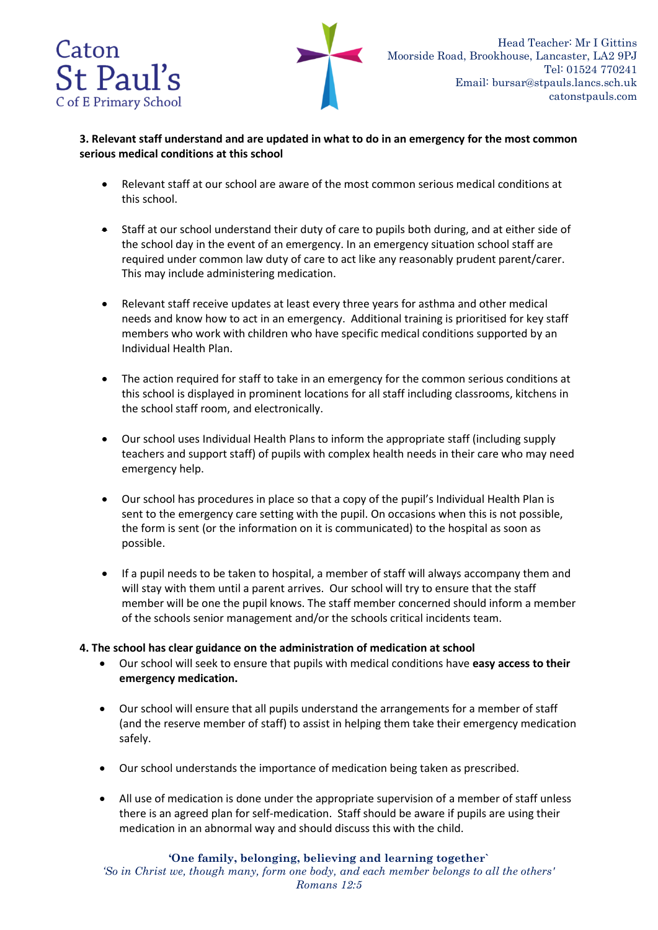



### **3. Relevant staff understand and are updated in what to do in an emergency for the most common serious medical conditions at this school**

- Relevant staff at our school are aware of the most common serious medical conditions at this school.
- Staff at our school understand their duty of care to pupils both during, and at either side of the school day in the event of an emergency. In an emergency situation school staff are required under common law duty of care to act like any reasonably prudent parent/carer. This may include administering medication.
- Relevant staff receive updates at least every three years for asthma and other medical needs and know how to act in an emergency. Additional training is prioritised for key staff members who work with children who have specific medical conditions supported by an Individual Health Plan.
- The action required for staff to take in an emergency for the common serious conditions at this school is displayed in prominent locations for all staff including classrooms, kitchens in the school staff room, and electronically.
- Our school uses Individual Health Plans to inform the appropriate staff (including supply teachers and support staff) of pupils with complex health needs in their care who may need emergency help.
- Our school has procedures in place so that a copy of the pupil's Individual Health Plan is sent to the emergency care setting with the pupil. On occasions when this is not possible, the form is sent (or the information on it is communicated) to the hospital as soon as possible.
- If a pupil needs to be taken to hospital, a member of staff will always accompany them and will stay with them until a parent arrives. Our school will try to ensure that the staff member will be one the pupil knows. The staff member concerned should inform a member of the schools senior management and/or the schools critical incidents team.

### **4. The school has clear guidance on the administration of medication at school**

- Our school will seek to ensure that pupils with medical conditions have **easy access to their emergency medication.**
- Our school will ensure that all pupils understand the arrangements for a member of staff (and the reserve member of staff) to assist in helping them take their emergency medication safely.
- Our school understands the importance of medication being taken as prescribed.
- All use of medication is done under the appropriate supervision of a member of staff unless there is an agreed plan for self-medication. Staff should be aware if pupils are using their medication in an abnormal way and should discuss this with the child.

### **'One family, belonging, believing and learning together`**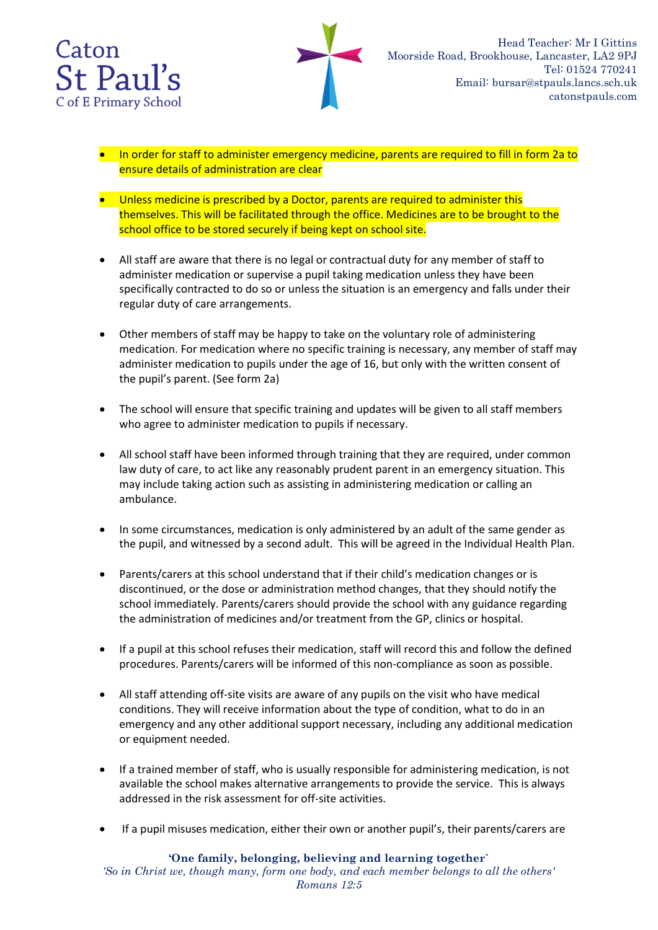



- In order for staff to administer emergency medicine, parents are required to fill in form 2a to ensure details of administration are clear
- Unless medicine is prescribed by a Doctor, parents are required to administer this themselves. This will be facilitated through the office. Medicines are to be brought to the school office to be stored securely if being kept on school site.
- All staff are aware that there is no legal or contractual duty for any member of staff to administer medication or supervise a pupil taking medication unless they have been specifically contracted to do so or unless the situation is an emergency and falls under their regular duty of care arrangements.
- Other members of staff may be happy to take on the voluntary role of administering medication. For medication where no specific training is necessary, any member of staff may administer medication to pupils under the age of 16, but only with the written consent of the pupil's parent. (See form 2a)
- The school will ensure that specific training and updates will be given to all staff members who agree to administer medication to pupils if necessary.
- All school staff have been informed through training that they are required, under common law duty of care, to act like any reasonably prudent parent in an emergency situation. This may include taking action such as assisting in administering medication or calling an ambulance.
- In some circumstances, medication is only administered by an adult of the same gender as the pupil, and witnessed by a second adult. This will be agreed in the Individual Health Plan.
- Parents/carers at this school understand that if their child's medication changes or is discontinued, or the dose or administration method changes, that they should notify the school immediately. Parents/carers should provide the school with any guidance regarding the administration of medicines and/or treatment from the GP, clinics or hospital.
- If a pupil at this school refuses their medication, staff will record this and follow the defined procedures. Parents/carers will be informed of this non-compliance as soon as possible.
- All staff attending off-site visits are aware of any pupils on the visit who have medical conditions. They will receive information about the type of condition, what to do in an emergency and any other additional support necessary, including any additional medication or equipment needed.
- If a trained member of staff, who is usually responsible for administering medication, is not available the school makes alternative arrangements to provide the service. This is always addressed in the risk assessment for off-site activities.
- If a pupil misuses medication, either their own or another pupil's, their parents/carers are

### **'One family, belonging, believing and learning together`**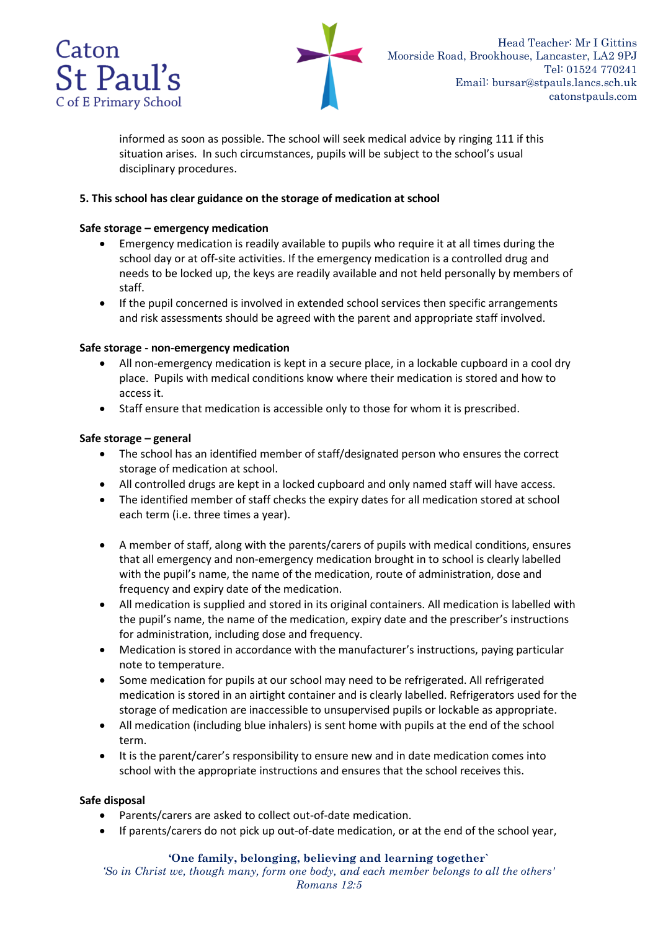



informed as soon as possible. The school will seek medical advice by ringing 111 if this situation arises. In such circumstances, pupils will be subject to the school's usual disciplinary procedures.

### **5. This school has clear guidance on the storage of medication at school**

### **Safe storage – emergency medication**

- Emergency medication is readily available to pupils who require it at all times during the school day or at off-site activities. If the emergency medication is a controlled drug and needs to be locked up, the keys are readily available and not held personally by members of staff.
- If the pupil concerned is involved in extended school services then specific arrangements and risk assessments should be agreed with the parent and appropriate staff involved.

### **Safe storage - non-emergency medication**

- All non-emergency medication is kept in a secure place, in a lockable cupboard in a cool dry place. Pupils with medical conditions know where their medication is stored and how to access it.
- Staff ensure that medication is accessible only to those for whom it is prescribed.

### **Safe storage – general**

- The school has an identified member of staff/designated person who ensures the correct storage of medication at school.
- All controlled drugs are kept in a locked cupboard and only named staff will have access.
- The identified member of staff checks the expiry dates for all medication stored at school each term (i.e. three times a year).
- A member of staff, along with the parents/carers of pupils with medical conditions, ensures that all emergency and non-emergency medication brought in to school is clearly labelled with the pupil's name, the name of the medication, route of administration, dose and frequency and expiry date of the medication.
- All medication is supplied and stored in its original containers. All medication is labelled with the pupil's name, the name of the medication, expiry date and the prescriber's instructions for administration, including dose and frequency.
- Medication is stored in accordance with the manufacturer's instructions, paying particular note to temperature.
- Some medication for pupils at our school may need to be refrigerated. All refrigerated medication is stored in an airtight container and is clearly labelled. Refrigerators used for the storage of medication are inaccessible to unsupervised pupils or lockable as appropriate.
- All medication (including blue inhalers) is sent home with pupils at the end of the school term.
- It is the parent/carer's responsibility to ensure new and in date medication comes into school with the appropriate instructions and ensures that the school receives this.

### **Safe disposal**

- Parents/carers are asked to collect out-of-date medication.
- If parents/carers do not pick up out-of-date medication, or at the end of the school year.

### **'One family, belonging, believing and learning together`**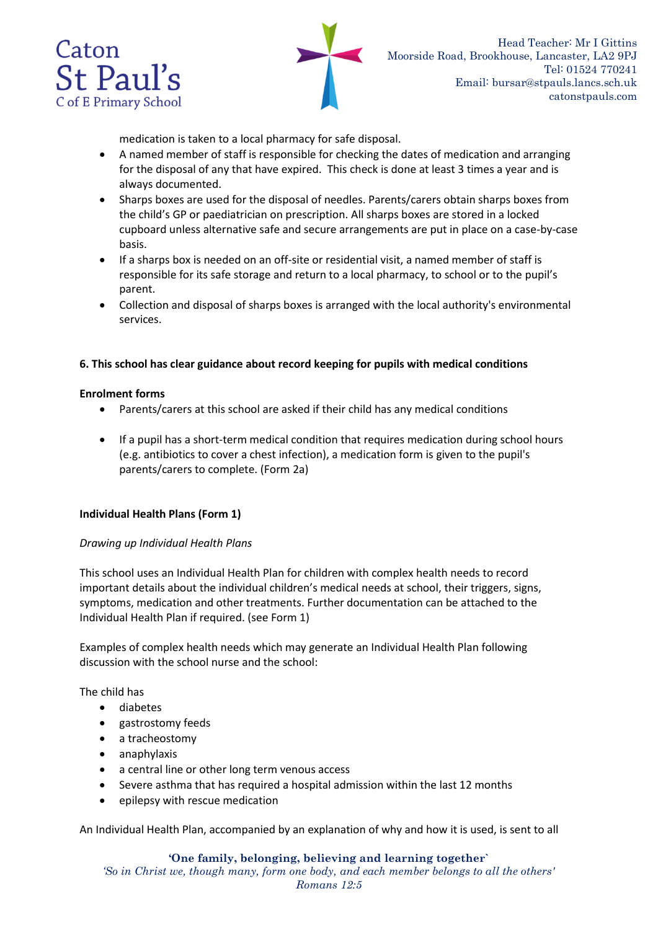



medication is taken to a local pharmacy for safe disposal.

- A named member of staff is responsible for checking the dates of medication and arranging for the disposal of any that have expired. This check is done at least 3 times a year and is always documented.
- Sharps boxes are used for the disposal of needles. Parents/carers obtain sharps boxes from the child's GP or paediatrician on prescription. All sharps boxes are stored in a locked cupboard unless alternative safe and secure arrangements are put in place on a case-by-case basis.
- If a sharps box is needed on an off-site or residential visit, a named member of staff is responsible for its safe storage and return to a local pharmacy, to school or to the pupil's parent.
- Collection and disposal of sharps boxes is arranged with the local authority's environmental services.

### **6. This school has clear guidance about record keeping for pupils with medical conditions**

### **Enrolment forms**

- Parents/carers at this school are asked if their child has any medical conditions
- If a pupil has a short-term medical condition that requires medication during school hours (e.g. antibiotics to cover a chest infection), a medication form is given to the pupil's parents/carers to complete. (Form 2a)

### **Individual Health Plans (Form 1)**

### *Drawing up Individual Health Plans*

This school uses an Individual Health Plan for children with complex health needs to record important details about the individual children's medical needs at school, their triggers, signs, symptoms, medication and other treatments. Further documentation can be attached to the Individual Health Plan if required. (see Form 1)

Examples of complex health needs which may generate an Individual Health Plan following discussion with the school nurse and the school:

The child has

- diabetes
- gastrostomy feeds
- a tracheostomy
- anaphylaxis
- a central line or other long term venous access
- Severe asthma that has required a hospital admission within the last 12 months
- epilepsy with rescue medication

An Individual Health Plan, accompanied by an explanation of why and how it is used, is sent to all

### **'One family, belonging, believing and learning together`**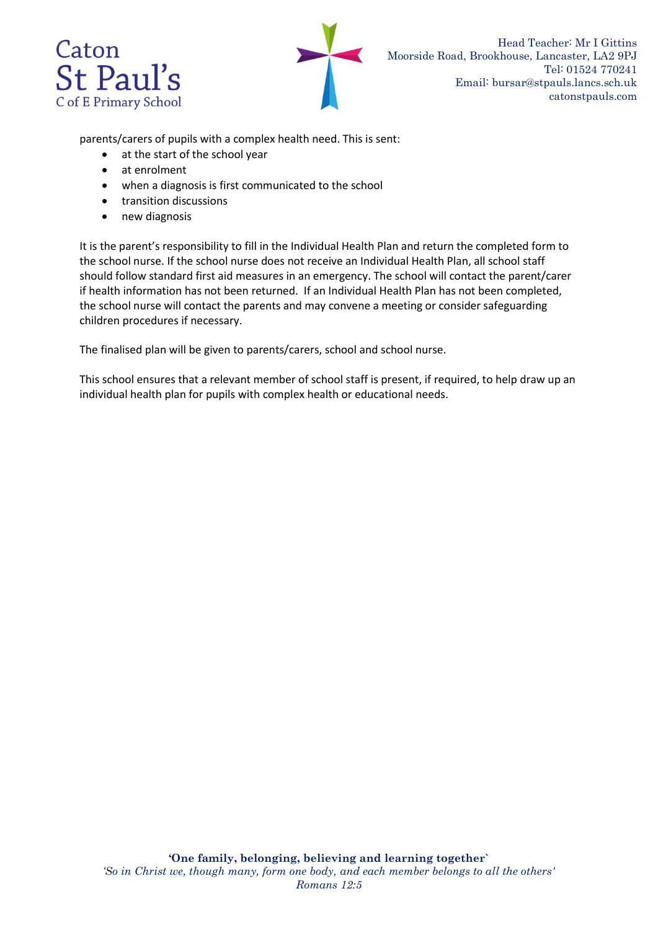



parents/carers of pupils with a complex health need. This is sent:

- at the start of the school year
- at enrolment
- when a diagnosis is first communicated to the school
- transition discussions
- new diagnosis

It is the parent's responsibility to fill in the Individual Health Plan and return the completed form to the school nurse. If the school nurse does not receive an Individual Health Plan, all school staff should follow standard first aid measures in an emergency. The school will contact the parent/carer if health information has not been returned. If an Individual Health Plan has not been completed, the school nurse will contact the parents and may convene a meeting or consider safeguarding children procedures if necessary.

The finalised plan will be given to parents/carers, school and school nurse.

This school ensures that a relevant member of school staff is present, if required, to help draw up an individual health plan for pupils with complex health or educational needs.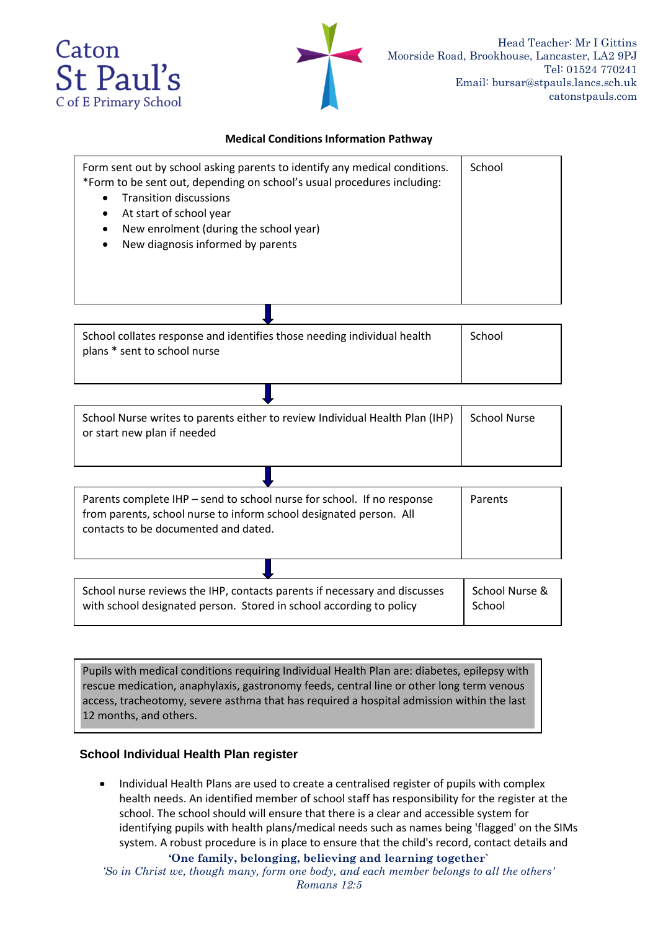



### **Medical Conditions Information Pathway**

| Form sent out by school asking parents to identify any medical conditions.<br>*Form to be sent out, depending on school's usual procedures including: | School |  |  |  |  |
|-------------------------------------------------------------------------------------------------------------------------------------------------------|--------|--|--|--|--|
| <b>Transition discussions</b><br>$\bullet$                                                                                                            |        |  |  |  |  |
| At start of school year<br>$\bullet$                                                                                                                  |        |  |  |  |  |
| New enrolment (during the school year)<br>$\bullet$                                                                                                   |        |  |  |  |  |
| New diagnosis informed by parents<br>$\bullet$                                                                                                        |        |  |  |  |  |
|                                                                                                                                                       |        |  |  |  |  |
|                                                                                                                                                       |        |  |  |  |  |
|                                                                                                                                                       |        |  |  |  |  |

| School collates response and identifies those needing individual health | School |
|-------------------------------------------------------------------------|--------|
| plans * sent to school nurse                                            |        |
|                                                                         |        |

| School Nurse writes to parents either to review Individual Health Plan (IHP)<br>or start new plan if needed | School Nurse |
|-------------------------------------------------------------------------------------------------------------|--------------|
|                                                                                                             |              |
|                                                                                                             |              |

| Parents complete IHP – send to school nurse for school. If no response<br>from parents, school nurse to inform school designated person. All<br>contacts to be documented and dated. | Parents |  |
|--------------------------------------------------------------------------------------------------------------------------------------------------------------------------------------|---------|--|
|                                                                                                                                                                                      |         |  |
|                                                                                                                                                                                      |         |  |

| School nurse reviews the IHP, contacts parents if necessary and discusses | School Nurse & |
|---------------------------------------------------------------------------|----------------|
| with school designated person. Stored in school according to policy       | School         |

Pupils with medical conditions requiring Individual Health Plan are: diabetes, epilepsy with rescue medication, anaphylaxis, gastronomy feeds, central line or other long term venous access, tracheotomy, severe asthma that has required a hospital admission within the last 12 months, and others.

### **School Individual Health Plan register**

• Individual Health Plans are used to create a centralised register of pupils with complex health needs. An identified member of school staff has responsibility for the register at the school. The school should will ensure that there is a clear and accessible system for identifying pupils with health plans/medical needs such as names being 'flagged' on the SIMs system. A robust procedure is in place to ensure that the child's record, contact details and

**'One family, belonging, believing and learning together`**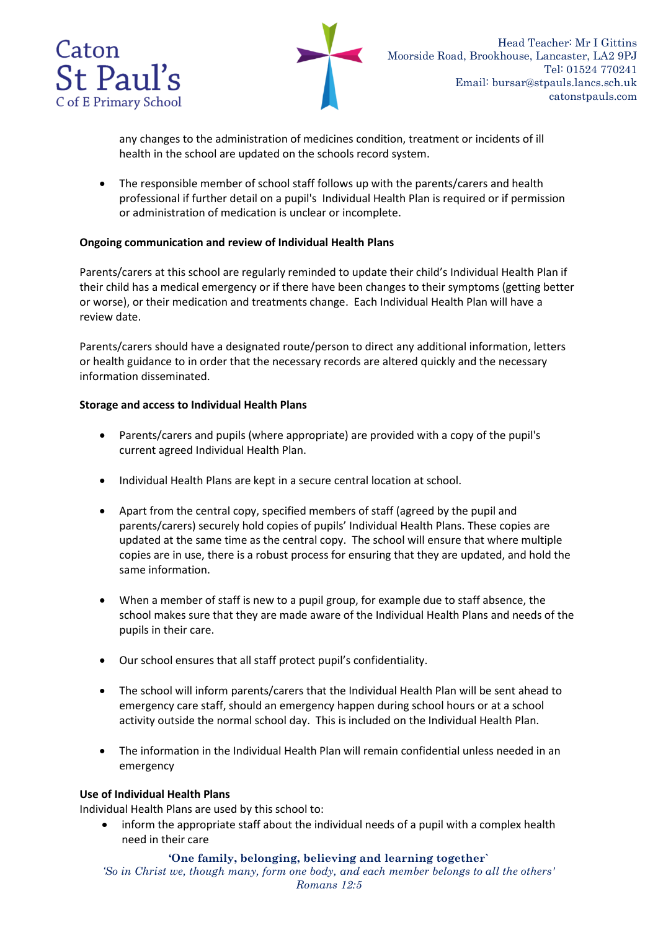



any changes to the administration of medicines condition, treatment or incidents of ill health in the school are updated on the schools record system.

• The responsible member of school staff follows up with the parents/carers and health professional if further detail on a pupil's Individual Health Plan is required or if permission or administration of medication is unclear or incomplete.

### **Ongoing communication and review of Individual Health Plans**

Parents/carers at this school are regularly reminded to update their child's Individual Health Plan if their child has a medical emergency or if there have been changes to their symptoms (getting better or worse), or their medication and treatments change. Each Individual Health Plan will have a review date.

Parents/carers should have a designated route/person to direct any additional information, letters or health guidance to in order that the necessary records are altered quickly and the necessary information disseminated.

### **Storage and access to Individual Health Plans**

- Parents/carers and pupils (where appropriate) are provided with a copy of the pupil's current agreed Individual Health Plan.
- Individual Health Plans are kept in a secure central location at school.
- Apart from the central copy, specified members of staff (agreed by the pupil and parents/carers) securely hold copies of pupils' Individual Health Plans. These copies are updated at the same time as the central copy. The school will ensure that where multiple copies are in use, there is a robust process for ensuring that they are updated, and hold the same information.
- When a member of staff is new to a pupil group, for example due to staff absence, the school makes sure that they are made aware of the Individual Health Plans and needs of the pupils in their care.
- Our school ensures that all staff protect pupil's confidentiality.
- The school will inform parents/carers that the Individual Health Plan will be sent ahead to emergency care staff, should an emergency happen during school hours or at a school activity outside the normal school day. This is included on the Individual Health Plan.
- The information in the Individual Health Plan will remain confidential unless needed in an emergency

### **Use of Individual Health Plans**

Individual Health Plans are used by this school to:

• inform the appropriate staff about the individual needs of a pupil with a complex health need in their care

### **'One family, belonging, believing and learning together`**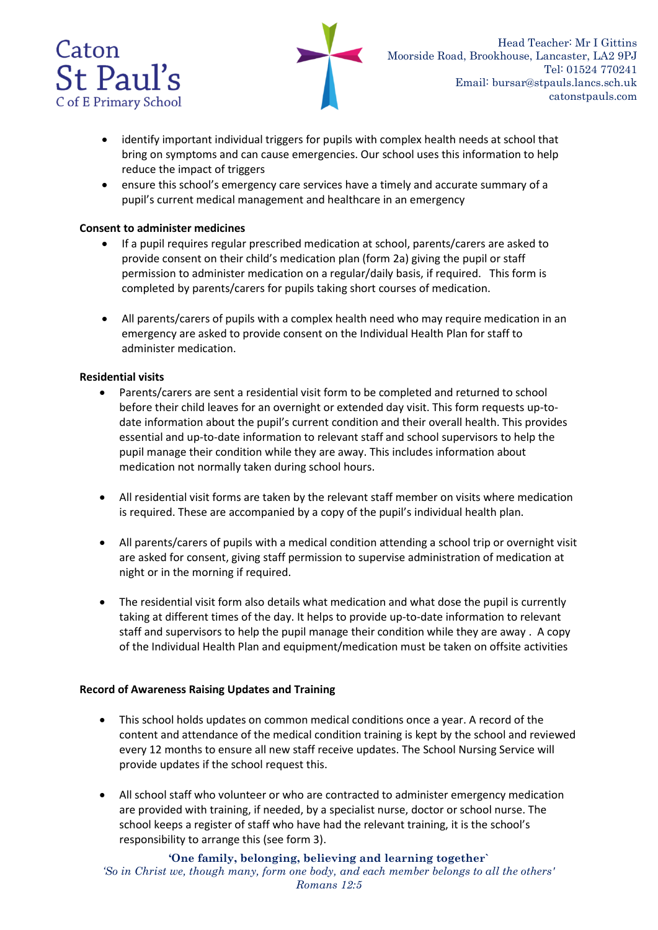



- identify important individual triggers for pupils with complex health needs at school that bring on symptoms and can cause emergencies. Our school uses this information to help reduce the impact of triggers
- ensure this school's emergency care services have a timely and accurate summary of a pupil's current medical management and healthcare in an emergency

### **Consent to administer medicines**

- If a pupil requires regular prescribed medication at school, parents/carers are asked to provide consent on their child's medication plan (form 2a) giving the pupil or staff permission to administer medication on a regular/daily basis, if required. This form is completed by parents/carers for pupils taking short courses of medication.
- All parents/carers of pupils with a complex health need who may require medication in an emergency are asked to provide consent on the Individual Health Plan for staff to administer medication.

### **Residential visits**

- Parents/carers are sent a residential visit form to be completed and returned to school before their child leaves for an overnight or extended day visit. This form requests up-todate information about the pupil's current condition and their overall health. This provides essential and up-to-date information to relevant staff and school supervisors to help the pupil manage their condition while they are away. This includes information about medication not normally taken during school hours.
- All residential visit forms are taken by the relevant staff member on visits where medication is required. These are accompanied by a copy of the pupil's individual health plan.
- All parents/carers of pupils with a medical condition attending a school trip or overnight visit are asked for consent, giving staff permission to supervise administration of medication at night or in the morning if required.
- The residential visit form also details what medication and what dose the pupil is currently taking at different times of the day. It helps to provide up-to-date information to relevant staff and supervisors to help the pupil manage their condition while they are away . A copy of the Individual Health Plan and equipment/medication must be taken on offsite activities

### **Record of Awareness Raising Updates and Training**

- This school holds updates on common medical conditions once a year. A record of the content and attendance of the medical condition training is kept by the school and reviewed every 12 months to ensure all new staff receive updates. The School Nursing Service will provide updates if the school request this.
- All school staff who volunteer or who are contracted to administer emergency medication are provided with training, if needed, by a specialist nurse, doctor or school nurse. The school keeps a register of staff who have had the relevant training, it is the school's responsibility to arrange this (see form 3).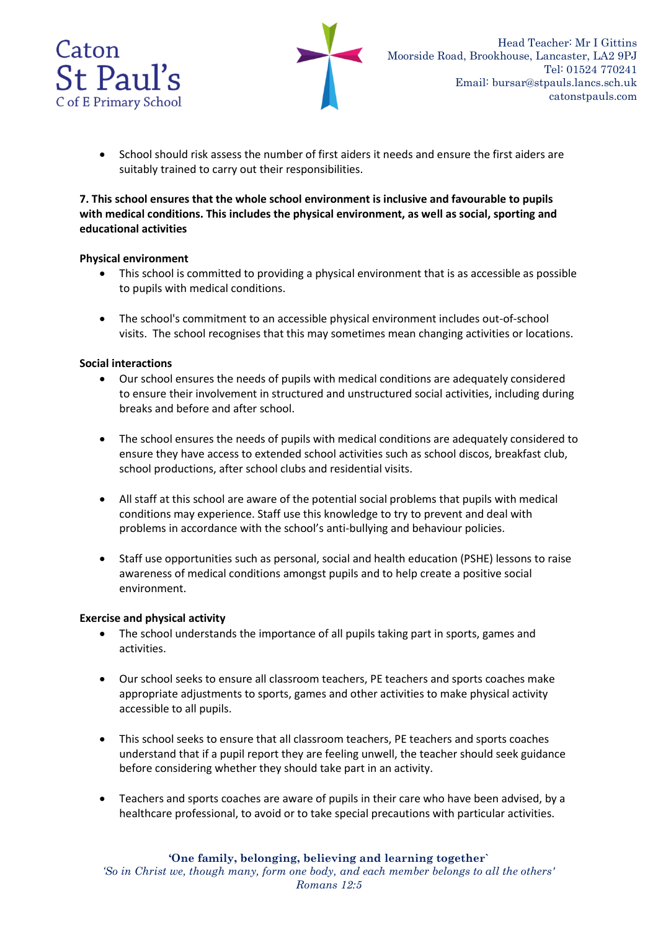



• School should risk assess the number of first aiders it needs and ensure the first aiders are suitably trained to carry out their responsibilities.

### **7. This school ensures that the whole school environment is inclusive and favourable to pupils with medical conditions. This includes the physical environment, as well as social, sporting and educational activities**

### **Physical environment**

- This school is committed to providing a physical environment that is as accessible as possible to pupils with medical conditions.
- The school's commitment to an accessible physical environment includes out-of-school visits. The school recognises that this may sometimes mean changing activities or locations.

### **Social interactions**

- Our school ensures the needs of pupils with medical conditions are adequately considered to ensure their involvement in structured and unstructured social activities, including during breaks and before and after school.
- The school ensures the needs of pupils with medical conditions are adequately considered to ensure they have access to extended school activities such as school discos, breakfast club, school productions, after school clubs and residential visits.
- All staff at this school are aware of the potential social problems that pupils with medical conditions may experience. Staff use this knowledge to try to prevent and deal with problems in accordance with the school's anti-bullying and behaviour policies.
- Staff use opportunities such as personal, social and health education (PSHE) lessons to raise awareness of medical conditions amongst pupils and to help create a positive social environment.

### **Exercise and physical activity**

- The school understands the importance of all pupils taking part in sports, games and activities.
- Our school seeks to ensure all classroom teachers, PE teachers and sports coaches make appropriate adjustments to sports, games and other activities to make physical activity accessible to all pupils.
- This school seeks to ensure that all classroom teachers, PE teachers and sports coaches understand that if a pupil report they are feeling unwell, the teacher should seek guidance before considering whether they should take part in an activity.
- Teachers and sports coaches are aware of pupils in their care who have been advised, by a healthcare professional, to avoid or to take special precautions with particular activities.

### **'One family, belonging, believing and learning together`**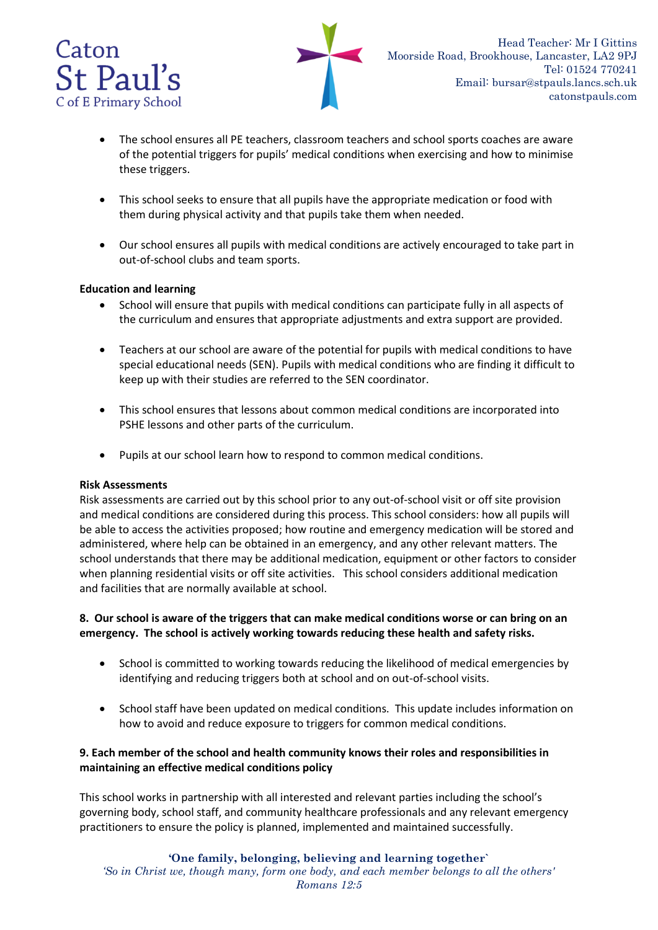



- The school ensures all PE teachers, classroom teachers and school sports coaches are aware of the potential triggers for pupils' medical conditions when exercising and how to minimise these triggers.
- This school seeks to ensure that all pupils have the appropriate medication or food with them during physical activity and that pupils take them when needed.
- Our school ensures all pupils with medical conditions are actively encouraged to take part in out-of-school clubs and team sports.

### **Education and learning**

- School will ensure that pupils with medical conditions can participate fully in all aspects of the curriculum and ensures that appropriate adjustments and extra support are provided.
- Teachers at our school are aware of the potential for pupils with medical conditions to have special educational needs (SEN). Pupils with medical conditions who are finding it difficult to keep up with their studies are referred to the SEN coordinator.
- This school ensures that lessons about common medical conditions are incorporated into PSHE lessons and other parts of the curriculum.
- Pupils at our school learn how to respond to common medical conditions.

### **Risk Assessments**

Risk assessments are carried out by this school prior to any out-of-school visit or off site provision and medical conditions are considered during this process. This school considers: how all pupils will be able to access the activities proposed; how routine and emergency medication will be stored and administered, where help can be obtained in an emergency, and any other relevant matters. The school understands that there may be additional medication, equipment or other factors to consider when planning residential visits or off site activities. This school considers additional medication and facilities that are normally available at school.

### **8. Our school is aware of the triggers that can make medical conditions worse or can bring on an emergency. The school is actively working towards reducing these health and safety risks.**

- School is committed to working towards reducing the likelihood of medical emergencies by identifying and reducing triggers both at school and on out-of-school visits.
- School staff have been updated on medical conditions. This update includes information on how to avoid and reduce exposure to triggers for common medical conditions.

### **9. Each member of the school and health community knows their roles and responsibilities in maintaining an effective medical conditions policy**

This school works in partnership with all interested and relevant parties including the school's governing body, school staff, and community healthcare professionals and any relevant emergency practitioners to ensure the policy is planned, implemented and maintained successfully.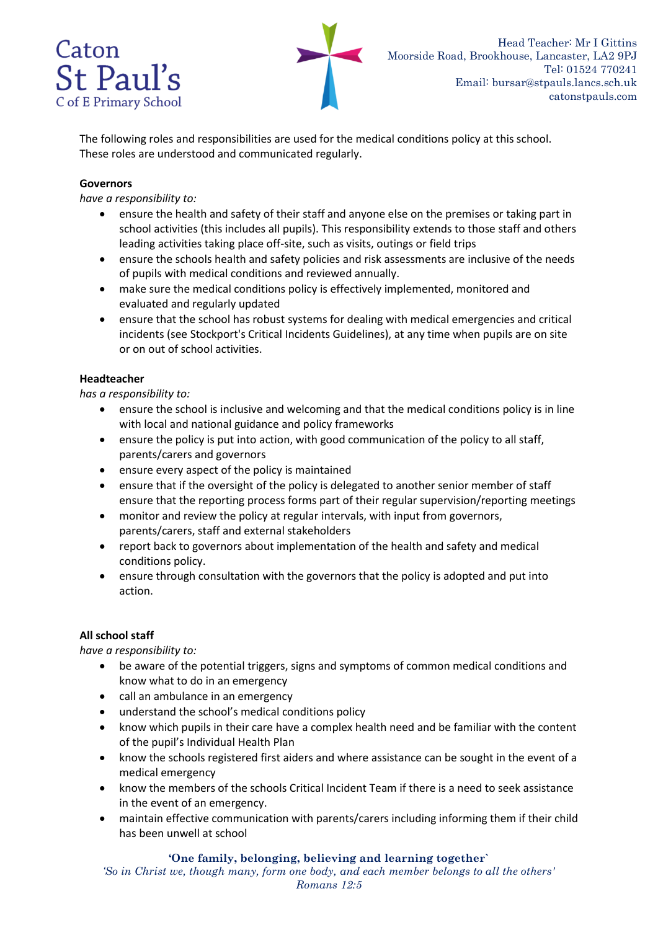# Caton St Paul's C of E Primary School



The following roles and responsibilities are used for the medical conditions policy at this school. These roles are understood and communicated regularly.

### **Governors**

*have a responsibility to:*

- ensure the health and safety of their staff and anyone else on the premises or taking part in school activities (this includes all pupils). This responsibility extends to those staff and others leading activities taking place off-site, such as visits, outings or field trips
- ensure the schools health and safety policies and risk assessments are inclusive of the needs of pupils with medical conditions and reviewed annually.
- make sure the medical conditions policy is effectively implemented, monitored and evaluated and regularly updated
- ensure that the school has robust systems for dealing with medical emergencies and critical incidents (see Stockport's Critical Incidents Guidelines), at any time when pupils are on site or on out of school activities.

### **Headteacher**

*has a responsibility to:*

- ensure the school is inclusive and welcoming and that the medical conditions policy is in line with local and national guidance and policy frameworks
- ensure the policy is put into action, with good communication of the policy to all staff, parents/carers and governors
- ensure every aspect of the policy is maintained
- ensure that if the oversight of the policy is delegated to another senior member of staff ensure that the reporting process forms part of their regular supervision/reporting meetings
- monitor and review the policy at regular intervals, with input from governors, parents/carers, staff and external stakeholders
- report back to governors about implementation of the health and safety and medical conditions policy.
- ensure through consultation with the governors that the policy is adopted and put into action.

### **All school staff**

*have a responsibility to:*

- be aware of the potential triggers, signs and symptoms of common medical conditions and know what to do in an emergency
- call an ambulance in an emergency
- understand the school's medical conditions policy
- know which pupils in their care have a complex health need and be familiar with the content of the pupil's Individual Health Plan
- know the schools registered first aiders and where assistance can be sought in the event of a medical emergency
- know the members of the schools Critical Incident Team if there is a need to seek assistance in the event of an emergency.
- maintain effective communication with parents/carers including informing them if their child has been unwell at school

### **'One family, belonging, believing and learning together`**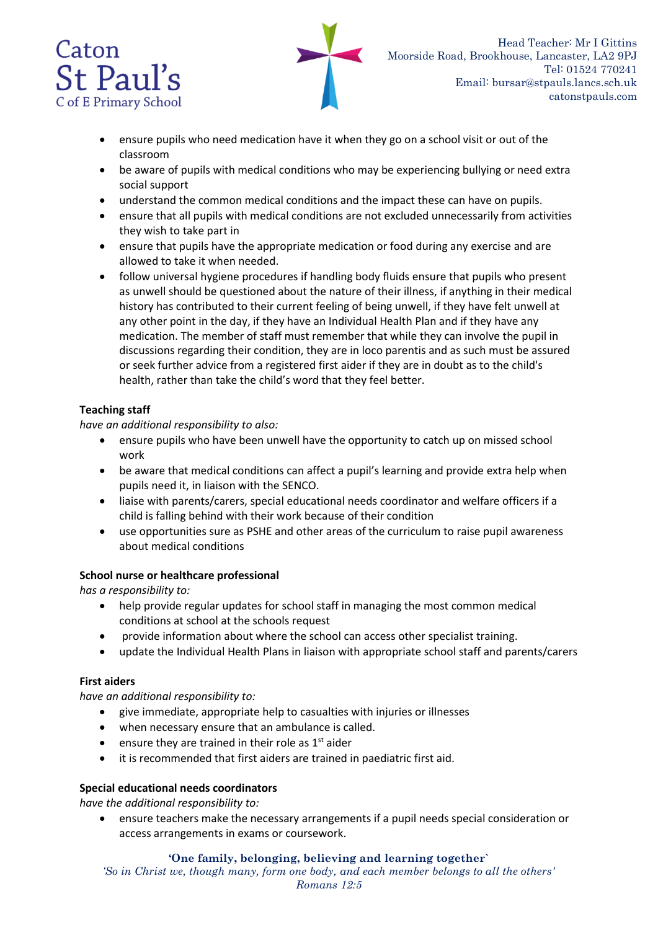



- ensure pupils who need medication have it when they go on a school visit or out of the classroom
- be aware of pupils with medical conditions who may be experiencing bullying or need extra social support
- understand the common medical conditions and the impact these can have on pupils.
- ensure that all pupils with medical conditions are not excluded unnecessarily from activities they wish to take part in
- ensure that pupils have the appropriate medication or food during any exercise and are allowed to take it when needed.
- follow universal hygiene procedures if handling body fluids ensure that pupils who present as unwell should be questioned about the nature of their illness, if anything in their medical history has contributed to their current feeling of being unwell, if they have felt unwell at any other point in the day, if they have an Individual Health Plan and if they have any medication. The member of staff must remember that while they can involve the pupil in discussions regarding their condition, they are in loco parentis and as such must be assured or seek further advice from a registered first aider if they are in doubt as to the child's health, rather than take the child's word that they feel better.

### **Teaching staff**

*have an additional responsibility to also:*

- ensure pupils who have been unwell have the opportunity to catch up on missed school work
- be aware that medical conditions can affect a pupil's learning and provide extra help when pupils need it, in liaison with the SENCO.
- liaise with parents/carers, special educational needs coordinator and welfare officers if a child is falling behind with their work because of their condition
- use opportunities sure as PSHE and other areas of the curriculum to raise pupil awareness about medical conditions

### **School nurse or healthcare professional**

*has a responsibility to:*

- help provide regular updates for school staff in managing the most common medical conditions at school at the schools request
- provide information about where the school can access other specialist training.
- update the Individual Health Plans in liaison with appropriate school staff and parents/carers

### **First aiders**

*have an additional responsibility to:*

- give immediate, appropriate help to casualties with injuries or illnesses
- when necessary ensure that an ambulance is called.
- ensure they are trained in their role as  $1<sup>st</sup>$  aider
- it is recommended that first aiders are trained in paediatric first aid.

### **Special educational needs coordinators**

*have the additional responsibility to:*

• ensure teachers make the necessary arrangements if a pupil needs special consideration or access arrangements in exams or coursework.

### **'One family, belonging, believing and learning together`**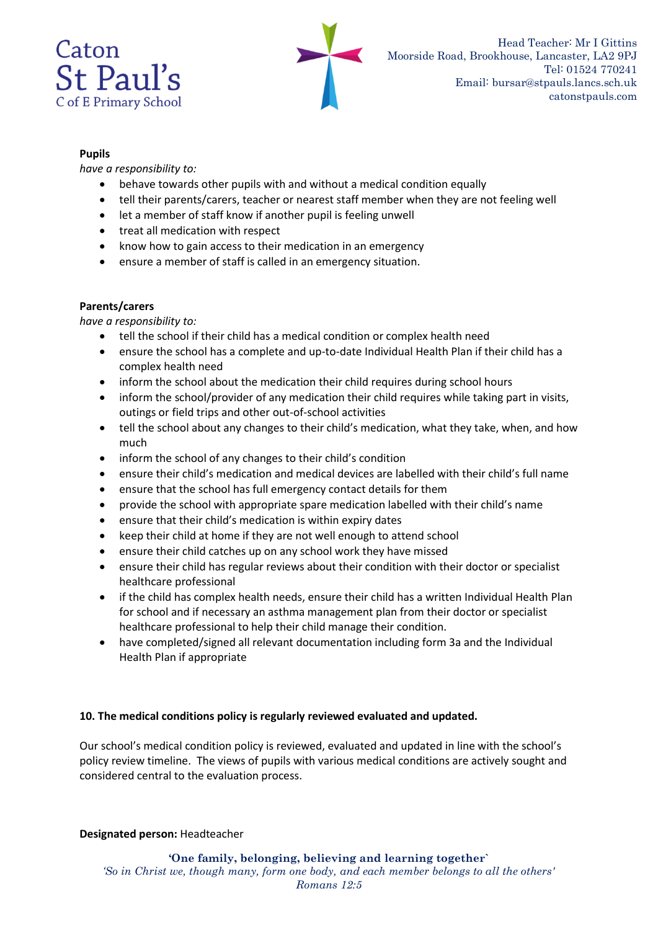



### **Pupils**

*have a responsibility to:*

- behave towards other pupils with and without a medical condition equally
- tell their parents/carers, teacher or nearest staff member when they are not feeling well
- let a member of staff know if another pupil is feeling unwell
- treat all medication with respect
- know how to gain access to their medication in an emergency
- ensure a member of staff is called in an emergency situation.

### **Parents/carers**

*have a responsibility to:*

- tell the school if their child has a medical condition or complex health need
- ensure the school has a complete and up-to-date Individual Health Plan if their child has a complex health need
- inform the school about the medication their child requires during school hours
- inform the school/provider of any medication their child requires while taking part in visits, outings or field trips and other out-of-school activities
- tell the school about any changes to their child's medication, what they take, when, and how much
- inform the school of any changes to their child's condition
- ensure their child's medication and medical devices are labelled with their child's full name
- ensure that the school has full emergency contact details for them
- provide the school with appropriate spare medication labelled with their child's name
- ensure that their child's medication is within expiry dates
- keep their child at home if they are not well enough to attend school
- ensure their child catches up on any school work they have missed
- ensure their child has regular reviews about their condition with their doctor or specialist healthcare professional
- if the child has complex health needs, ensure their child has a written Individual Health Plan for school and if necessary an asthma management plan from their doctor or specialist healthcare professional to help their child manage their condition.
- have completed/signed all relevant documentation including form 3a and the Individual Health Plan if appropriate

### **10. The medical conditions policy is regularly reviewed evaluated and updated.**

Our school's medical condition policy is reviewed, evaluated and updated in line with the school's policy review timeline. The views of pupils with various medical conditions are actively sought and considered central to the evaluation process.

### **Designated person:** Headteacher

**'One family, belonging, believing and learning together`** *'So in Christ we, though many, form one body, and each member belongs to all the others' Romans 12:5*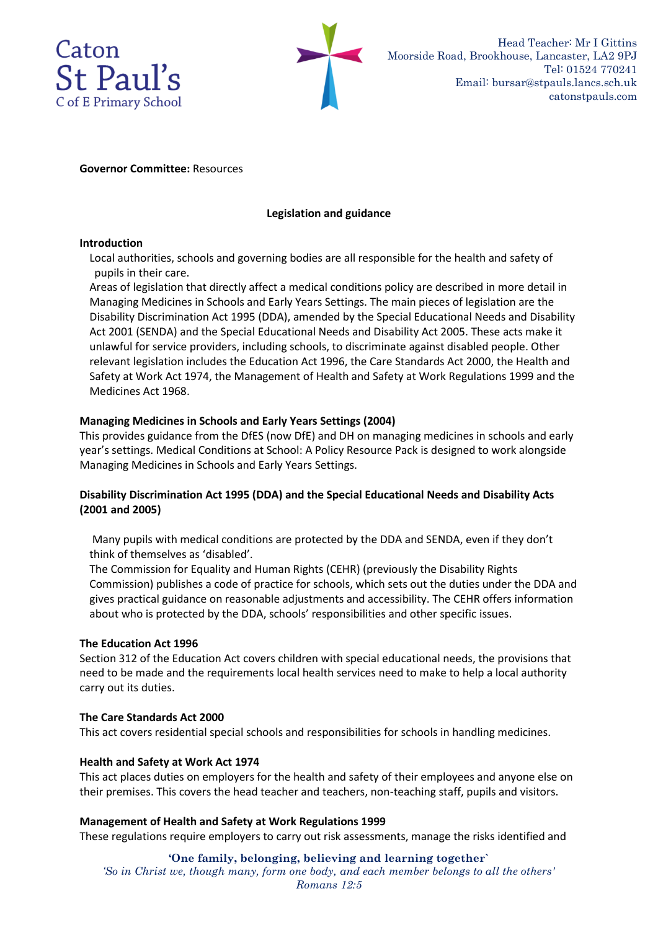



### **Governor Committee:** Resources

### **Legislation and guidance**

### **Introduction**

Local authorities, schools and governing bodies are all responsible for the health and safety of pupils in their care.

Areas of legislation that directly affect a medical conditions policy are described in more detail in Managing Medicines in Schools and Early Years Settings. The main pieces of legislation are the Disability Discrimination Act 1995 (DDA), amended by the Special Educational Needs and Disability Act 2001 (SENDA) and the Special Educational Needs and Disability Act 2005. These acts make it unlawful for service providers, including schools, to discriminate against disabled people. Other relevant legislation includes the Education Act 1996, the Care Standards Act 2000, the Health and Safety at Work Act 1974, the Management of Health and Safety at Work Regulations 1999 and the Medicines Act 1968.

### **Managing Medicines in Schools and Early Years Settings (2004)**

This provides guidance from the DfES (now DfE) and DH on managing medicines in schools and early year's settings. Medical Conditions at School: A Policy Resource Pack is designed to work alongside Managing Medicines in Schools and Early Years Settings.

### **Disability Discrimination Act 1995 (DDA) and the Special Educational Needs and Disability Acts (2001 and 2005)**

Many pupils with medical conditions are protected by the DDA and SENDA, even if they don't think of themselves as 'disabled'.

The Commission for Equality and Human Rights (CEHR) (previously the Disability Rights Commission) publishes a code of practice for schools, which sets out the duties under the DDA and gives practical guidance on reasonable adjustments and accessibility. The CEHR offers information about who is protected by the DDA, schools' responsibilities and other specific issues.

### **The Education Act 1996**

Section 312 of the Education Act covers children with special educational needs, the provisions that need to be made and the requirements local health services need to make to help a local authority carry out its duties.

### **The Care Standards Act 2000**

This act covers residential special schools and responsibilities for schools in handling medicines.

### **Health and Safety at Work Act 1974**

This act places duties on employers for the health and safety of their employees and anyone else on their premises. This covers the head teacher and teachers, non-teaching staff, pupils and visitors.

### **Management of Health and Safety at Work Regulations 1999**

These regulations require employers to carry out risk assessments, manage the risks identified and

#### **'One family, belonging, believing and learning together`**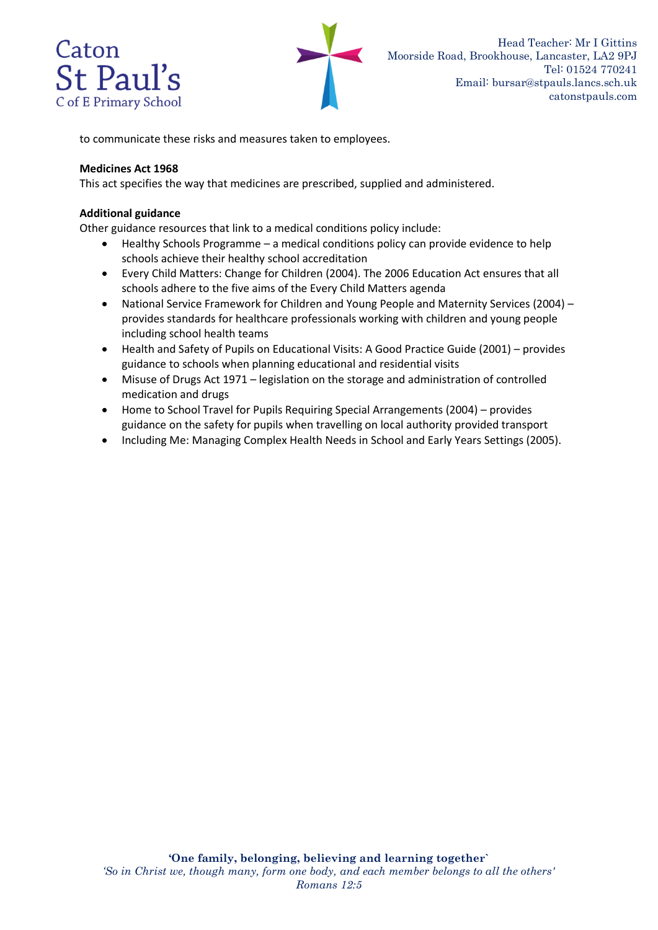



to communicate these risks and measures taken to employees.

### **Medicines Act 1968**

This act specifies the way that medicines are prescribed, supplied and administered.

### **Additional guidance**

Other guidance resources that link to a medical conditions policy include:

- Healthy Schools Programme a medical conditions policy can provide evidence to help schools achieve their healthy school accreditation
- Every Child Matters: Change for Children (2004). The 2006 Education Act ensures that all schools adhere to the five aims of the Every Child Matters agenda
- National Service Framework for Children and Young People and Maternity Services (2004) provides standards for healthcare professionals working with children and young people including school health teams
- Health and Safety of Pupils on Educational Visits: A Good Practice Guide (2001) provides guidance to schools when planning educational and residential visits
- Misuse of Drugs Act 1971 legislation on the storage and administration of controlled medication and drugs
- Home to School Travel for Pupils Requiring Special Arrangements (2004) provides guidance on the safety for pupils when travelling on local authority provided transport
- Including Me: Managing Complex Health Needs in School and Early Years Settings (2005).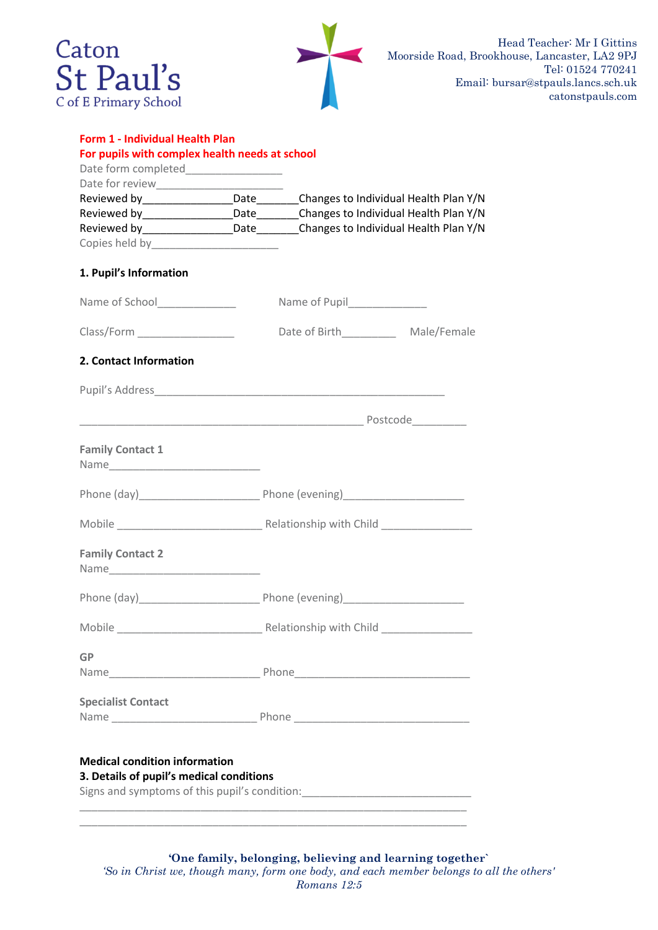



|                                                                                | For pupils with complex health needs at school |                                                                                 |  |  |
|--------------------------------------------------------------------------------|------------------------------------------------|---------------------------------------------------------------------------------|--|--|
|                                                                                |                                                |                                                                                 |  |  |
|                                                                                |                                                |                                                                                 |  |  |
|                                                                                |                                                | Reviewed by___________________Date________Changes to Individual Health Plan Y/N |  |  |
| Reviewed by__________________Date________Changes to Individual Health Plan Y/N |                                                |                                                                                 |  |  |
| Reviewed by__________________Date________Changes to Individual Health Plan Y/N |                                                |                                                                                 |  |  |
|                                                                                |                                                |                                                                                 |  |  |
| 1. Pupil's Information                                                         |                                                |                                                                                 |  |  |
| Name of School______________                                                   |                                                | Name of Pupil________________                                                   |  |  |
| Class/Form ____________________                                                |                                                |                                                                                 |  |  |
| 2. Contact Information                                                         |                                                |                                                                                 |  |  |
|                                                                                |                                                |                                                                                 |  |  |
|                                                                                |                                                |                                                                                 |  |  |
| <b>Family Contact 1</b>                                                        |                                                |                                                                                 |  |  |
|                                                                                |                                                |                                                                                 |  |  |
|                                                                                |                                                |                                                                                 |  |  |
| <b>Family Contact 2</b>                                                        |                                                |                                                                                 |  |  |
|                                                                                |                                                |                                                                                 |  |  |
|                                                                                |                                                |                                                                                 |  |  |
| <b>GP</b>                                                                      |                                                |                                                                                 |  |  |
|                                                                                |                                                |                                                                                 |  |  |
|                                                                                |                                                |                                                                                 |  |  |

**'One family, belonging, believing and learning together`** *'So in Christ we, though many, form one body, and each member belongs to all the others' Romans 12:5*

\_\_\_\_\_\_\_\_\_\_\_\_\_\_\_\_\_\_\_\_\_\_\_\_\_\_\_\_\_\_\_\_\_\_\_\_\_\_\_\_\_\_\_\_\_\_\_\_\_\_\_\_\_\_\_\_\_\_\_\_\_\_\_\_ \_\_\_\_\_\_\_\_\_\_\_\_\_\_\_\_\_\_\_\_\_\_\_\_\_\_\_\_\_\_\_\_\_\_\_\_\_\_\_\_\_\_\_\_\_\_\_\_\_\_\_\_\_\_\_\_\_\_\_\_\_\_\_\_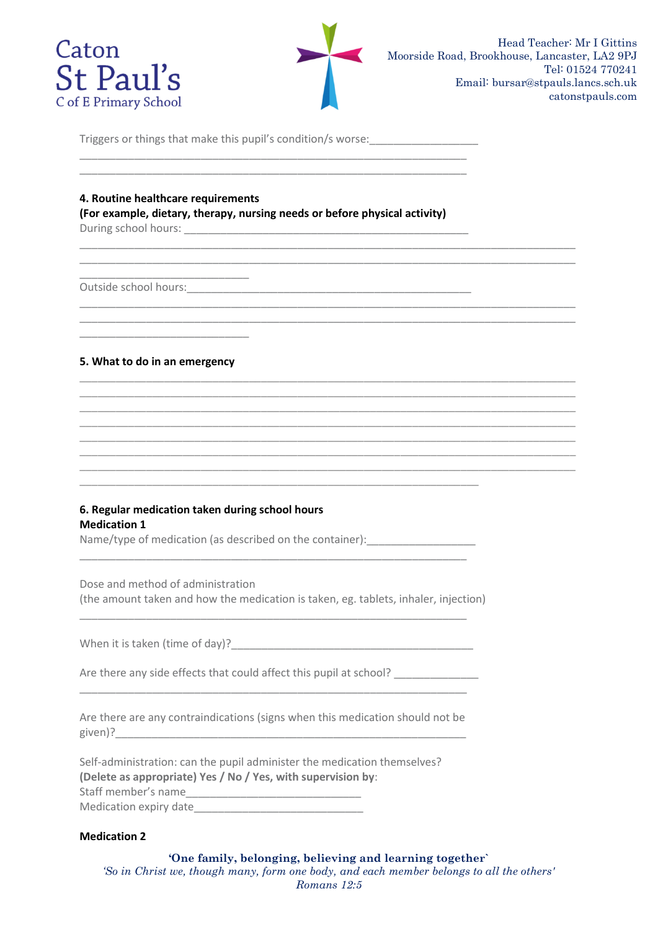



\_\_\_\_\_\_\_\_\_\_\_\_\_\_\_\_\_\_\_\_\_\_\_\_\_\_\_\_\_\_\_\_\_\_\_\_\_\_\_\_\_\_\_\_\_\_\_\_\_\_\_\_\_\_\_\_\_\_\_\_\_\_\_\_\_\_\_\_\_\_\_\_\_\_\_\_\_\_\_\_\_\_ \_\_\_\_\_\_\_\_\_\_\_\_\_\_\_\_\_\_\_\_\_\_\_\_\_\_\_\_\_\_\_\_\_\_\_\_\_\_\_\_\_\_\_\_\_\_\_\_\_\_\_\_\_\_\_\_\_\_\_\_\_\_\_\_\_\_\_\_\_\_\_\_\_\_\_\_\_\_\_\_\_\_

\_\_\_\_\_\_\_\_\_\_\_\_\_\_\_\_\_\_\_\_\_\_\_\_\_\_\_\_\_\_\_\_\_\_\_\_\_\_\_\_\_\_\_\_\_\_\_\_\_\_\_\_\_\_\_\_\_\_\_\_\_\_\_\_\_\_\_\_\_\_\_\_\_\_\_\_\_\_\_\_\_\_ \_\_\_\_\_\_\_\_\_\_\_\_\_\_\_\_\_\_\_\_\_\_\_\_\_\_\_\_\_\_\_\_\_\_\_\_\_\_\_\_\_\_\_\_\_\_\_\_\_\_\_\_\_\_\_\_\_\_\_\_\_\_\_\_\_\_\_\_\_\_\_\_\_\_\_\_\_\_\_\_\_\_

\_\_\_\_\_\_\_\_\_\_\_\_\_\_\_\_\_\_\_\_\_\_\_\_\_\_\_\_\_\_\_\_\_\_\_\_\_\_\_\_\_\_\_\_\_\_\_\_\_\_\_\_\_\_\_\_\_\_\_\_\_\_\_\_\_\_\_\_\_\_\_\_\_\_\_\_\_\_\_\_\_\_ \_\_\_\_\_\_\_\_\_\_\_\_\_\_\_\_\_\_\_\_\_\_\_\_\_\_\_\_\_\_\_\_\_\_\_\_\_\_\_\_\_\_\_\_\_\_\_\_\_\_\_\_\_\_\_\_\_\_\_\_\_\_\_\_\_\_\_\_\_\_\_\_\_\_\_\_\_\_\_\_\_\_ \_\_\_\_\_\_\_\_\_\_\_\_\_\_\_\_\_\_\_\_\_\_\_\_\_\_\_\_\_\_\_\_\_\_\_\_\_\_\_\_\_\_\_\_\_\_\_\_\_\_\_\_\_\_\_\_\_\_\_\_\_\_\_\_\_\_\_\_\_\_\_\_\_\_\_\_\_\_\_\_\_\_ \_\_\_\_\_\_\_\_\_\_\_\_\_\_\_\_\_\_\_\_\_\_\_\_\_\_\_\_\_\_\_\_\_\_\_\_\_\_\_\_\_\_\_\_\_\_\_\_\_\_\_\_\_\_\_\_\_\_\_\_\_\_\_\_\_\_\_\_\_\_\_\_\_\_\_\_\_\_\_\_\_\_ \_\_\_\_\_\_\_\_\_\_\_\_\_\_\_\_\_\_\_\_\_\_\_\_\_\_\_\_\_\_\_\_\_\_\_\_\_\_\_\_\_\_\_\_\_\_\_\_\_\_\_\_\_\_\_\_\_\_\_\_\_\_\_\_\_\_\_\_\_\_\_\_\_\_\_\_\_\_\_\_\_\_ \_\_\_\_\_\_\_\_\_\_\_\_\_\_\_\_\_\_\_\_\_\_\_\_\_\_\_\_\_\_\_\_\_\_\_\_\_\_\_\_\_\_\_\_\_\_\_\_\_\_\_\_\_\_\_\_\_\_\_\_\_\_\_\_\_\_\_\_\_\_\_\_\_\_\_\_\_\_\_\_\_\_ \_\_\_\_\_\_\_\_\_\_\_\_\_\_\_\_\_\_\_\_\_\_\_\_\_\_\_\_\_\_\_\_\_\_\_\_\_\_\_\_\_\_\_\_\_\_\_\_\_\_\_\_\_\_\_\_\_\_\_\_\_\_\_\_\_\_\_\_\_\_\_\_\_\_\_\_\_\_\_\_\_\_

Triggers or things that make this pupil's condition/s worse:\_\_\_\_\_\_\_\_\_\_\_\_\_\_\_\_\_\_

#### **4. Routine healthcare requirements**

\_\_\_\_\_\_\_\_\_\_\_\_\_\_\_\_\_\_\_\_\_\_\_\_\_\_\_\_

\_\_\_\_\_\_\_\_\_\_\_\_\_\_\_\_\_\_\_\_\_\_\_\_\_\_\_\_

**(For example, dietary, therapy, nursing needs or before physical activity)**

\_\_\_\_\_\_\_\_\_\_\_\_\_\_\_\_\_\_\_\_\_\_\_\_\_\_\_\_\_\_\_\_\_\_\_\_\_\_\_\_\_\_\_\_\_\_\_\_\_\_\_\_\_\_\_\_\_\_\_\_\_\_\_\_ \_\_\_\_\_\_\_\_\_\_\_\_\_\_\_\_\_\_\_\_\_\_\_\_\_\_\_\_\_\_\_\_\_\_\_\_\_\_\_\_\_\_\_\_\_\_\_\_\_\_\_\_\_\_\_\_\_\_\_\_\_\_\_\_

During school hours: \_\_\_\_\_\_\_\_\_\_\_\_\_\_\_\_\_\_\_\_\_\_\_\_\_\_\_\_\_\_\_\_\_\_\_\_\_\_\_\_\_\_\_\_\_\_\_

Outside school hours:\_\_\_\_\_\_\_\_\_\_\_\_\_\_\_\_\_\_\_\_\_\_\_\_\_\_\_\_\_\_\_\_\_\_\_\_\_\_\_\_\_\_\_\_\_\_\_

### **5. What to do in an emergency**

### **6. Regular medication taken during school hours Medication 1**

Name/type of medication (as described on the container):

Dose and method of administration (the amount taken and how the medication is taken, eg. tablets, inhaler, injection)

\_\_\_\_\_\_\_\_\_\_\_\_\_\_\_\_\_\_\_\_\_\_\_\_\_\_\_\_\_\_\_\_\_\_\_\_\_\_\_\_\_\_\_\_\_\_\_\_\_\_\_\_\_\_\_\_\_\_\_\_\_\_\_\_

\_\_\_\_\_\_\_\_\_\_\_\_\_\_\_\_\_\_\_\_\_\_\_\_\_\_\_\_\_\_\_\_\_\_\_\_\_\_\_\_\_\_\_\_\_\_\_\_\_\_\_\_\_\_\_\_\_\_\_\_\_\_\_\_

\_\_\_\_\_\_\_\_\_\_\_\_\_\_\_\_\_\_\_\_\_\_\_\_\_\_\_\_\_\_\_\_\_\_\_\_\_\_\_\_\_\_\_\_\_\_\_\_\_\_\_\_\_\_\_\_\_\_\_\_\_\_\_\_\_\_

When it is taken (time of day)?\_\_\_\_\_\_\_\_\_\_\_\_\_\_\_\_\_\_\_\_\_\_\_\_\_\_\_\_\_\_\_\_\_\_\_\_\_\_\_\_

Are there any side effects that could affect this pupil at school?

Are there are any contraindications (signs when this medication should not be  $given):$ 

\_\_\_\_\_\_\_\_\_\_\_\_\_\_\_\_\_\_\_\_\_\_\_\_\_\_\_\_\_\_\_\_\_\_\_\_\_\_\_\_\_\_\_\_\_\_\_\_\_\_\_\_\_\_\_\_\_\_\_\_\_\_\_\_

Self-administration: can the pupil administer the medication themselves? **(Delete as appropriate) Yes / No / Yes, with supervision by**:

Staff member's name

Medication expiry date

### **Medication 2**

**'One family, belonging, believing and learning together`** *'So in Christ we, though many, form one body, and each member belongs to all the others' Romans 12:5*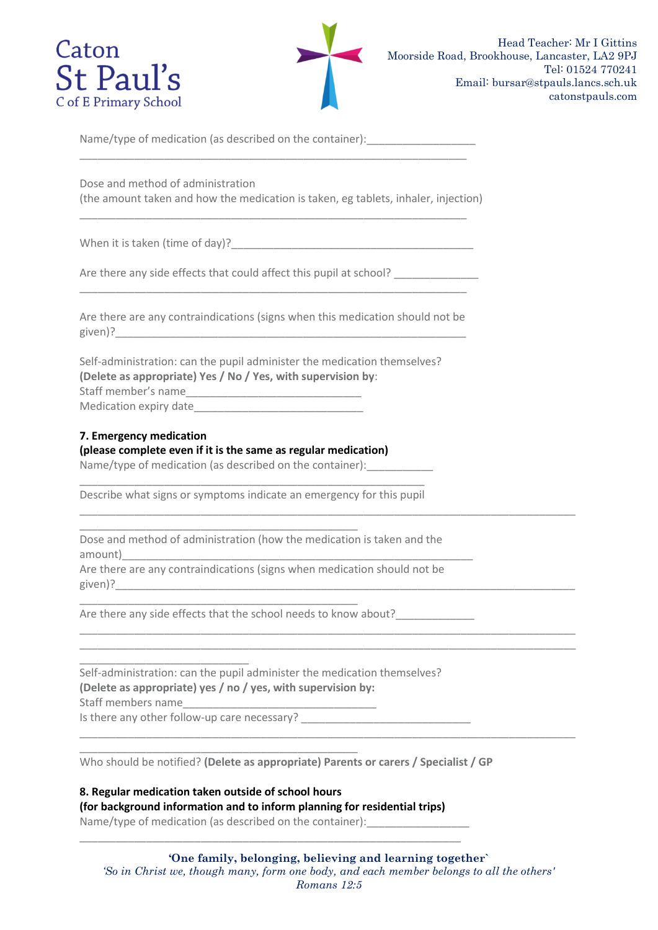



Name/type of medication (as described on the container):

Dose and method of administration (the amount taken and how the medication is taken, eg tablets, inhaler, injection)

\_\_\_\_\_\_\_\_\_\_\_\_\_\_\_\_\_\_\_\_\_\_\_\_\_\_\_\_\_\_\_\_\_\_\_\_\_\_\_\_\_\_\_\_\_\_\_\_\_\_\_\_\_\_\_\_\_\_\_\_\_\_\_\_

\_\_\_\_\_\_\_\_\_\_\_\_\_\_\_\_\_\_\_\_\_\_\_\_\_\_\_\_\_\_\_\_\_\_\_\_\_\_\_\_\_\_\_\_\_\_\_\_\_\_\_\_\_\_\_\_\_\_\_\_\_\_\_\_

When it is taken (time of day)?\_\_\_\_\_\_\_\_\_\_\_\_\_\_\_\_\_\_\_\_\_\_\_\_\_\_\_\_\_\_\_\_\_\_\_\_\_\_\_\_

Are there any side effects that could affect this pupil at school?

Are there are any contraindications (signs when this medication should not be  $given)$ ?

\_\_\_\_\_\_\_\_\_\_\_\_\_\_\_\_\_\_\_\_\_\_\_\_\_\_\_\_\_\_\_\_\_\_\_\_\_\_\_\_\_\_\_\_\_\_\_\_\_\_\_\_\_\_\_\_\_\_\_\_\_\_\_\_

Self-administration: can the pupil administer the medication themselves? **(Delete as appropriate) Yes / No / Yes, with supervision by**: Staff member's name Medication expiry date

### **7. Emergency medication**

\_\_\_\_\_\_\_\_\_\_\_\_\_\_\_\_\_\_\_\_\_\_\_\_\_\_\_\_

### **(please complete even if it is the same as regular medication)**

Name/type of medication (as described on the container):

\_\_\_\_\_\_\_\_\_\_\_\_\_\_\_\_\_\_\_\_\_\_\_\_\_\_\_\_\_\_\_\_\_\_\_\_\_\_\_\_\_\_\_\_\_\_

\_\_\_\_\_\_\_\_\_\_\_\_\_\_\_\_\_\_\_\_\_\_\_\_\_\_\_\_\_\_\_\_\_\_\_\_\_\_\_\_\_\_\_\_\_\_

\_\_\_\_\_\_\_\_\_\_\_\_\_\_\_\_\_\_\_\_\_\_\_\_\_\_\_\_\_\_\_\_\_\_\_\_\_\_\_\_\_\_\_\_\_\_

\_\_\_\_\_\_\_\_\_\_\_\_\_\_\_\_\_\_\_\_\_\_\_\_\_\_\_\_\_\_\_\_\_\_\_\_\_\_\_\_\_\_\_\_\_\_\_\_\_\_\_\_\_\_\_\_\_ Describe what signs or symptoms indicate an emergency for this pupil

Dose and method of administration (how the medication is taken and the amount)\_\_\_\_\_\_\_\_\_\_\_\_\_\_\_\_\_\_\_\_\_\_\_\_\_\_\_\_\_\_\_\_\_\_\_\_\_\_\_\_\_\_\_\_\_\_\_\_\_\_\_\_\_\_\_\_\_\_

\_\_\_\_\_\_\_\_\_\_\_\_\_\_\_\_\_\_\_\_\_\_\_\_\_\_\_\_\_\_\_\_\_\_\_\_\_\_\_\_\_\_\_\_\_\_\_\_\_\_\_\_\_\_\_\_\_\_\_\_\_\_\_\_\_\_\_\_\_\_\_\_\_\_\_\_\_\_\_\_\_\_

\_\_\_\_\_\_\_\_\_\_\_\_\_\_\_\_\_\_\_\_\_\_\_\_\_\_\_\_\_\_\_\_\_\_\_\_\_\_\_\_\_\_\_\_\_\_\_\_\_\_\_\_\_\_\_\_\_\_\_\_\_\_\_\_\_\_\_\_\_\_\_\_\_\_\_\_\_\_\_\_\_\_ \_\_\_\_\_\_\_\_\_\_\_\_\_\_\_\_\_\_\_\_\_\_\_\_\_\_\_\_\_\_\_\_\_\_\_\_\_\_\_\_\_\_\_\_\_\_\_\_\_\_\_\_\_\_\_\_\_\_\_\_\_\_\_\_\_\_\_\_\_\_\_\_\_\_\_\_\_\_\_\_\_\_

\_\_\_\_\_\_\_\_\_\_\_\_\_\_\_\_\_\_\_\_\_\_\_\_\_\_\_\_\_\_\_\_\_\_\_\_\_\_\_\_\_\_\_\_\_\_\_\_\_\_\_\_\_\_\_\_\_\_\_\_\_\_\_\_\_\_\_\_\_\_\_\_\_\_\_\_\_\_\_\_\_\_

Are there are any contraindications (signs when medication should not be given)?\_\_\_\_\_\_\_\_\_\_\_\_\_\_\_\_\_\_\_\_\_\_\_\_\_\_\_\_\_\_\_\_\_\_\_\_\_\_\_\_\_\_\_\_\_\_\_\_\_\_\_\_\_\_\_\_\_\_\_\_\_\_\_\_\_\_\_\_\_\_\_\_\_\_\_\_

Are there any side effects that the school needs to know about?

Self-administration: can the pupil administer the medication themselves? **(Delete as appropriate) yes / no / yes, with supervision by:** Staff members name Is there any other follow-up care necessary?

Who should be notified? **(Delete as appropriate) Parents or carers / Specialist / GP**

**8. Regular medication taken outside of school hours (for background information and to inform planning for residential trips)** Name/type of medication (as described on the container):

\_\_\_\_\_\_\_\_\_\_\_\_\_\_\_\_\_\_\_\_\_\_\_\_\_\_\_\_\_\_\_\_\_\_\_\_\_\_\_\_\_\_\_\_\_\_\_\_\_\_\_\_\_\_\_\_\_\_\_\_\_\_\_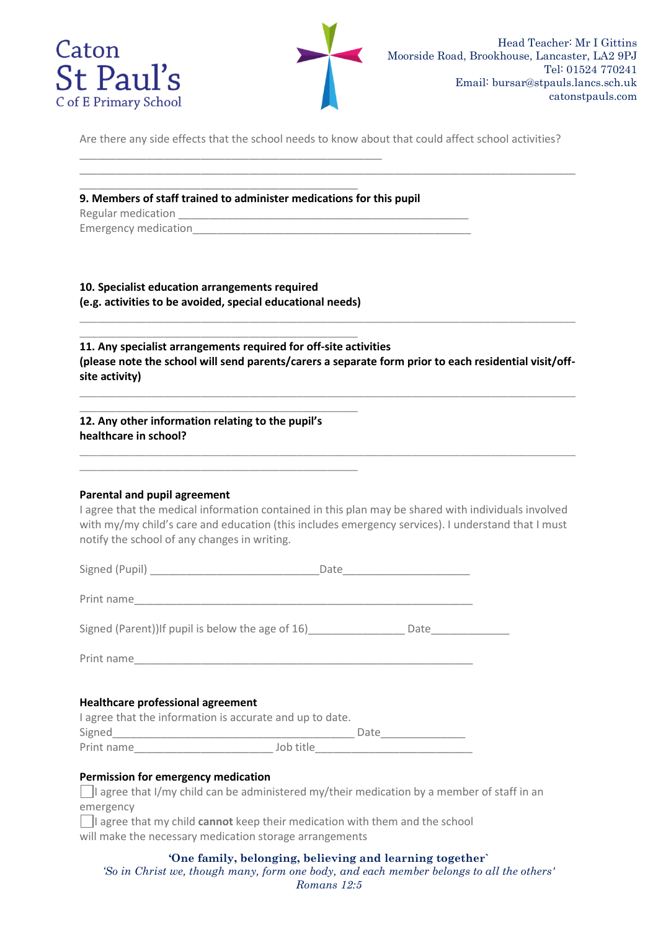



Are there any side effects that the school needs to know about that could affect school activities?

\_\_\_\_\_\_\_\_\_\_\_\_\_\_\_\_\_\_\_\_\_\_\_\_\_\_\_\_\_\_\_\_\_\_\_\_\_\_\_\_\_\_\_\_\_\_\_\_\_\_

\_\_\_\_\_\_\_\_\_\_\_\_\_\_\_\_\_\_\_\_\_\_\_\_\_\_\_\_\_\_\_\_\_\_\_\_\_\_\_\_\_\_\_\_\_\_\_\_\_\_\_\_\_\_\_\_\_\_\_\_\_\_\_\_\_\_\_\_\_\_\_\_\_\_\_\_\_\_\_\_\_\_ \_\_\_\_\_\_\_\_\_\_\_\_\_\_\_\_\_\_\_\_\_\_\_\_\_\_\_\_\_\_\_\_\_\_\_\_\_\_\_\_\_\_\_\_\_\_ **9. Members of staff trained to administer medications for this pupil** Regular medication Emergency medication **10. Specialist education arrangements required (e.g. activities to be avoided, special educational needs)** \_\_\_\_\_\_\_\_\_\_\_\_\_\_\_\_\_\_\_\_\_\_\_\_\_\_\_\_\_\_\_\_\_\_\_\_\_\_\_\_\_\_\_\_\_\_\_\_\_\_\_\_\_\_\_\_\_\_\_\_\_\_\_\_\_\_\_\_\_\_\_\_\_\_\_\_\_\_\_\_\_\_ \_\_\_\_\_\_\_\_\_\_\_\_\_\_\_\_\_\_\_\_\_\_\_\_\_\_\_\_\_\_\_\_\_\_\_\_\_\_\_\_\_\_\_\_\_\_ **11. Any specialist arrangements required for off-site activities (please note the school will send parents/carers a separate form prior to each residential visit/offsite activity)** \_\_\_\_\_\_\_\_\_\_\_\_\_\_\_\_\_\_\_\_\_\_\_\_\_\_\_\_\_\_\_\_\_\_\_\_\_\_\_\_\_\_\_\_\_\_\_\_\_\_\_\_\_\_\_\_\_\_\_\_\_\_\_\_\_\_\_\_\_\_\_\_\_\_\_\_\_\_\_\_\_\_ \_\_\_\_\_\_\_\_\_\_\_\_\_\_\_\_\_\_\_\_\_\_\_\_\_\_\_\_\_\_\_\_\_\_\_\_\_\_\_\_\_\_\_\_\_\_ **12. Any other information relating to the pupil's healthcare in school?** \_\_\_\_\_\_\_\_\_\_\_\_\_\_\_\_\_\_\_\_\_\_\_\_\_\_\_\_\_\_\_\_\_\_\_\_\_\_\_\_\_\_\_\_\_\_\_\_\_\_\_\_\_\_\_\_\_\_\_\_\_\_\_\_\_\_\_\_\_\_\_\_\_\_\_\_\_\_\_\_\_\_ \_\_\_\_\_\_\_\_\_\_\_\_\_\_\_\_\_\_\_\_\_\_\_\_\_\_\_\_\_\_\_\_\_\_\_\_\_\_\_\_\_\_\_\_\_\_ **Parental and pupil agreement** I agree that the medical information contained in this plan may be shared with individuals involved with my/my child's care and education (this includes emergency services). I understand that I must notify the school of any changes in writing. Signed (Pupil) \_\_\_\_\_\_\_\_\_\_\_\_\_\_\_\_\_\_\_\_\_\_\_\_\_\_\_\_Date\_\_\_\_\_\_\_\_\_\_\_\_\_\_\_\_\_\_\_\_\_ Print name Signed (Parent))If pupil is below the age of 16) [2012 Date Print name\_\_\_\_\_\_\_\_\_\_\_\_\_\_\_\_\_\_\_\_\_\_\_\_\_\_\_\_\_\_\_\_\_\_\_\_\_\_\_\_\_\_\_\_\_\_\_\_\_\_\_\_\_\_\_\_ **Healthcare professional agreement** I agree that the information is accurate and up to date. Signed\_\_\_\_\_\_\_\_\_\_\_\_\_\_\_\_\_\_\_\_\_\_\_\_\_\_\_\_\_\_\_\_\_\_\_\_\_\_\_\_ Date\_\_\_\_\_\_\_\_\_\_\_\_\_\_ Print name and a set of the set of the set of the set of the set of the set of the set of the set of the set o **Permission for emergency medication**  $\Box$  agree that I/my child can be administered my/their medication by a member of staff in an emergency I agree that my child **cannot** keep their medication with them and the school

will make the necessary medication storage arrangements

### **'One family, belonging, believing and learning together`**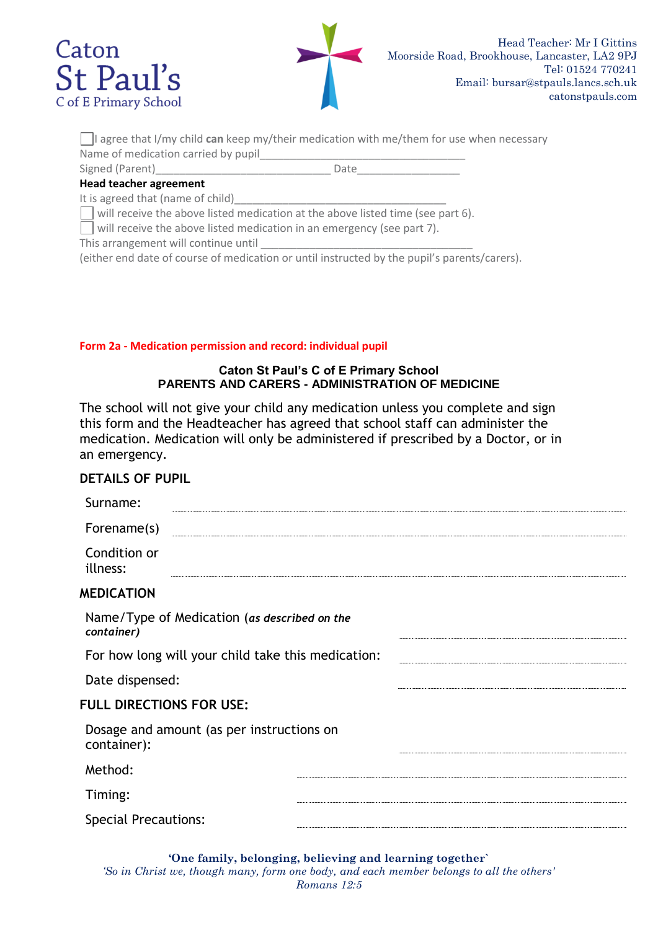# Caton St Paul's C of E Primary School



I agree that I/my child **can** keep my/their medication with me/them for use when necessary Name of medication carried by pupil

Signed (Parent) example and Date

### **Head teacher agreement**

It is agreed that (name of child)

 $\Box$  will receive the above listed medication at the above listed time (see part 6).

 $\Box$  will receive the above listed medication in an emergency (see part 7).

This arrangement will continue until

(either end date of course of medication or until instructed by the pupil's parents/carers).

### **Form 2a - Medication permission and record: individual pupil**

### **Caton St Paul's C of E Primary School PARENTS AND CARERS - ADMINISTRATION OF MEDICINE**

The school will not give your child any medication unless you complete and sign this form and the Headteacher has agreed that school staff can administer the medication. Medication will only be administered if prescribed by a Doctor, or in an emergency.

### **DETAILS OF PUPIL**

| Surname:                                                   |
|------------------------------------------------------------|
| Forename(s)                                                |
| Condition or<br>illness:                                   |
| <b>MEDICATION</b>                                          |
| Name/Type of Medication (as described on the<br>container) |
| For how long will your child take this medication:         |
| Date dispensed:                                            |
| <b>FULL DIRECTIONS FOR USE:</b>                            |
| Dosage and amount (as per instructions on<br>container):   |
| Method:                                                    |
| Timing:                                                    |
| <b>Special Precautions:</b>                                |

**'One family, belonging, believing and learning together`**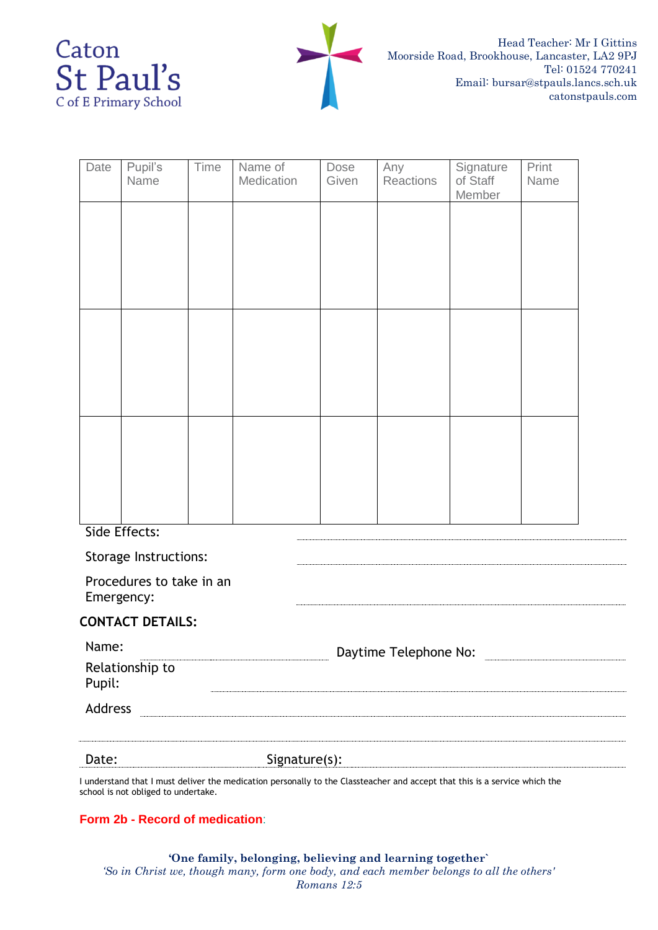



| Date                               | Pupil's<br>Name          | Time | Name of<br>Medication | Dose<br>Given | Any<br><b>Reactions</b> | Signature<br>of Staff<br>Member | Print<br>Name |  |
|------------------------------------|--------------------------|------|-----------------------|---------------|-------------------------|---------------------------------|---------------|--|
|                                    |                          |      |                       |               |                         |                                 |               |  |
|                                    | Side Effects:            |      |                       |               |                         |                                 |               |  |
|                                    | Storage Instructions:    |      |                       |               |                         |                                 |               |  |
| Emergency:                         | Procedures to take in an |      |                       |               |                         |                                 |               |  |
|                                    | <b>CONTACT DETAILS:</b>  |      |                       |               |                         |                                 |               |  |
| Name:<br>Relationship to<br>Pupil: |                          |      | Daytime Telephone No: |               |                         |                                 |               |  |
|                                    |                          |      |                       |               |                         |                                 |               |  |
| Address                            |                          |      |                       |               |                         |                                 |               |  |
| Date:                              |                          |      | Signature(s):         |               |                         |                                 |               |  |

I understand that I must deliver the medication personally to the Classteacher and accept that this is a service which the school is not obliged to undertake.

### **Form 2b - Record of medication**:

**'One family, belonging, believing and learning together`** *'So in Christ we, though many, form one body, and each member belongs to all the others' Romans 12:5*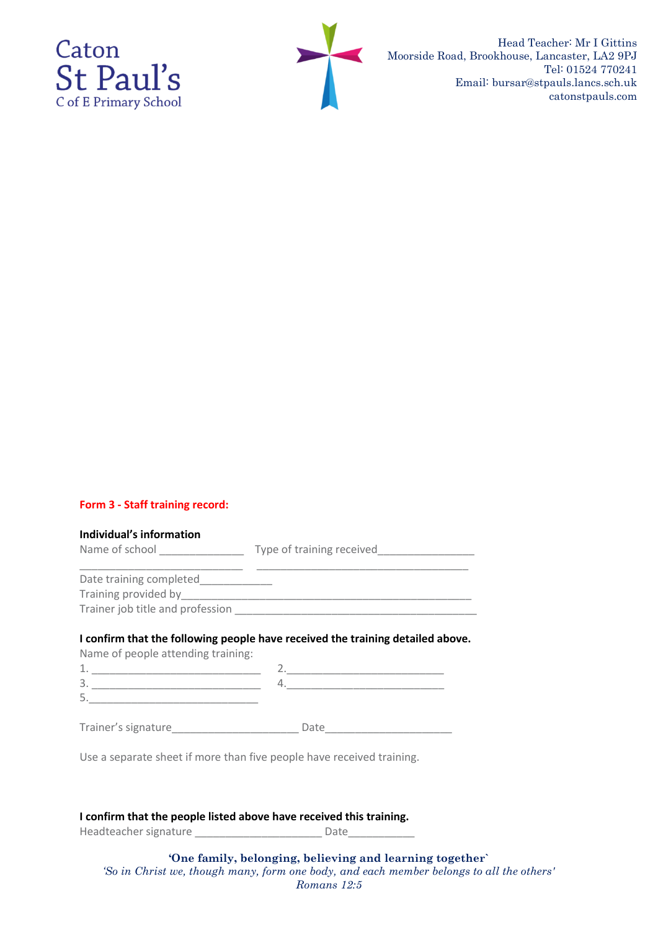



### **Form 3 - Staff training record:**

| <b>Individual's information</b>                                       |                                                                                                                                                                                                                                                                                                                                                                     |
|-----------------------------------------------------------------------|---------------------------------------------------------------------------------------------------------------------------------------------------------------------------------------------------------------------------------------------------------------------------------------------------------------------------------------------------------------------|
|                                                                       |                                                                                                                                                                                                                                                                                                                                                                     |
| Date training completed_____________                                  |                                                                                                                                                                                                                                                                                                                                                                     |
|                                                                       | Training provided by example and a series of the contract of the contract of the contract of the contract of the contract of the contract of the contract of the contract of the contract of the contract of the contract of t                                                                                                                                      |
|                                                                       |                                                                                                                                                                                                                                                                                                                                                                     |
|                                                                       | I confirm that the following people have received the training detailed above.                                                                                                                                                                                                                                                                                      |
| Name of people attending training:                                    |                                                                                                                                                                                                                                                                                                                                                                     |
|                                                                       |                                                                                                                                                                                                                                                                                                                                                                     |
|                                                                       | $\begin{picture}(20,10) \put(0,0){\vector(1,0){100}} \put(15,0){\vector(1,0){100}} \put(15,0){\vector(1,0){100}} \put(15,0){\vector(1,0){100}} \put(15,0){\vector(1,0){100}} \put(15,0){\vector(1,0){100}} \put(15,0){\vector(1,0){100}} \put(15,0){\vector(1,0){100}} \put(15,0){\vector(1,0){100}} \put(15,0){\vector(1,0){100}} \put(15,0){\vector(1,0){100}} \$ |
|                                                                       |                                                                                                                                                                                                                                                                                                                                                                     |
|                                                                       |                                                                                                                                                                                                                                                                                                                                                                     |
| Use a separate sheet if more than five people have received training. |                                                                                                                                                                                                                                                                                                                                                                     |
|                                                                       |                                                                                                                                                                                                                                                                                                                                                                     |
|                                                                       |                                                                                                                                                                                                                                                                                                                                                                     |
|                                                                       |                                                                                                                                                                                                                                                                                                                                                                     |

**I confirm that the people listed above have received this training.**

Headteacher signature \_\_\_\_\_\_\_\_\_\_\_\_\_\_\_\_\_\_\_\_\_ Date\_\_\_\_\_\_\_\_\_\_\_

**'One family, belonging, believing and learning together`** *'So in Christ we, though many, form one body, and each member belongs to all the others' Romans 12:5*